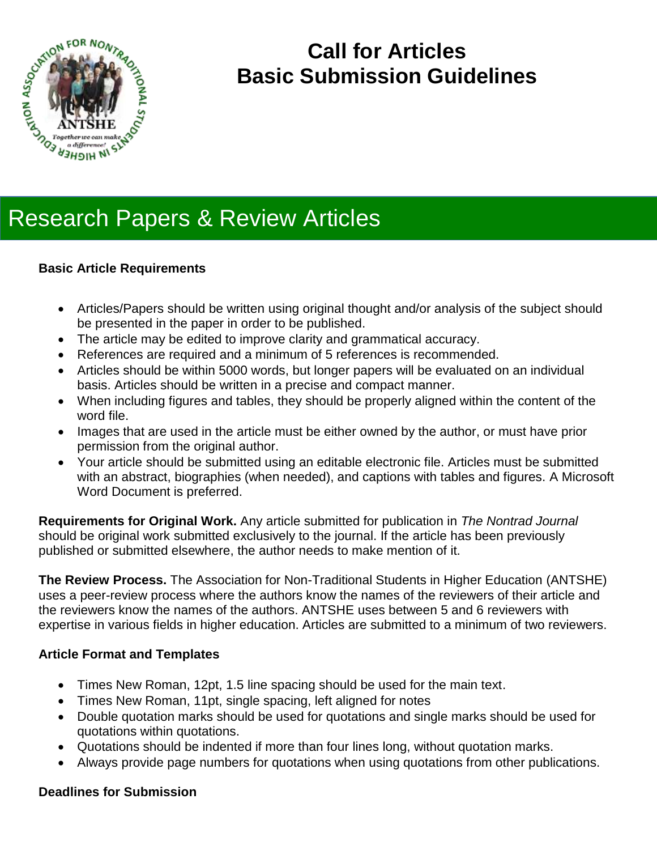

## **Call for Articles Basic Submission Guidelines**

# Research Papers & Review Articles

## **Basic Article Requirements**

- Articles/Papers should be written using original thought and/or analysis of the subject should be presented in the paper in order to be published.
- The article may be edited to improve clarity and grammatical accuracy.
- References are required and a minimum of 5 references is recommended.
- Articles should be within 5000 words, but longer papers will be evaluated on an individual basis. Articles should be written in a precise and compact manner.
- When including figures and tables, they should be properly aligned within the content of the word file.
- Images that are used in the article must be either owned by the author, or must have prior permission from the original author.
- Your article should be submitted using an editable electronic file. Articles must be submitted with an abstract, biographies (when needed), and captions with tables and figures. A Microsoft Word Document is preferred.

**Requirements for Original Work.** Any article submitted for publication in *The Nontrad Journal* should be original work submitted exclusively to the journal. If the article has been previously published or submitted elsewhere, the author needs to make mention of it.

**The Review Process.** The Association for Non-Traditional Students in Higher Education (ANTSHE) uses a peer-review process where the authors know the names of the reviewers of their article and the reviewers know the names of the authors. ANTSHE uses between 5 and 6 reviewers with expertise in various fields in higher education. Articles are submitted to a minimum of two reviewers.

## **Article Format and Templates**

- Times New Roman, 12pt, 1.5 line spacing should be used for the main text.
- Times New Roman, 11pt, single spacing, left aligned for notes
- Double quotation marks should be used for quotations and single marks should be used for quotations within quotations.
- Quotations should be indented if more than four lines long, without quotation marks.
- Always provide page numbers for quotations when using quotations from other publications.

## **Deadlines for Submission**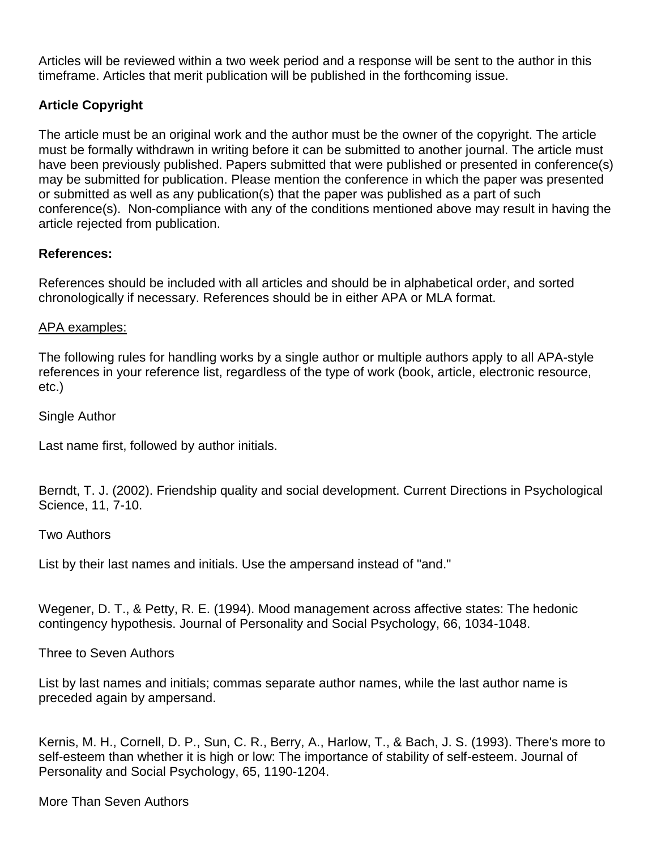Articles will be reviewed within a two week period and a response will be sent to the author in this timeframe. Articles that merit publication will be published in the forthcoming issue.

## **Article Copyright**

The article must be an original work and the author must be the owner of the copyright. The article must be formally withdrawn in writing before it can be submitted to another journal. The article must have been previously published. Papers submitted that were published or presented in conference(s) may be submitted for publication. Please mention the conference in which the paper was presented or submitted as well as any publication(s) that the paper was published as a part of such conference(s). Non-compliance with any of the conditions mentioned above may result in having the article rejected from publication.

## **References:**

References should be included with all articles and should be in alphabetical order, and sorted chronologically if necessary. References should be in either APA or MLA format.

## APA examples:

The following rules for handling works by a single author or multiple authors apply to all APA-style references in your reference list, regardless of the type of work (book, article, electronic resource, etc.)

Single Author

Last name first, followed by author initials.

Berndt, T. J. (2002). Friendship quality and social development. Current Directions in Psychological Science, 11, 7-10.

## Two Authors

List by their last names and initials. Use the ampersand instead of "and."

Wegener, D. T., & Petty, R. E. (1994). Mood management across affective states: The hedonic contingency hypothesis. Journal of Personality and Social Psychology, 66, 1034-1048.

Three to Seven Authors

List by last names and initials; commas separate author names, while the last author name is preceded again by ampersand.

Kernis, M. H., Cornell, D. P., Sun, C. R., Berry, A., Harlow, T., & Bach, J. S. (1993). There's more to self-esteem than whether it is high or low: The importance of stability of self-esteem. Journal of Personality and Social Psychology, 65, 1190-1204.

## More Than Seven Authors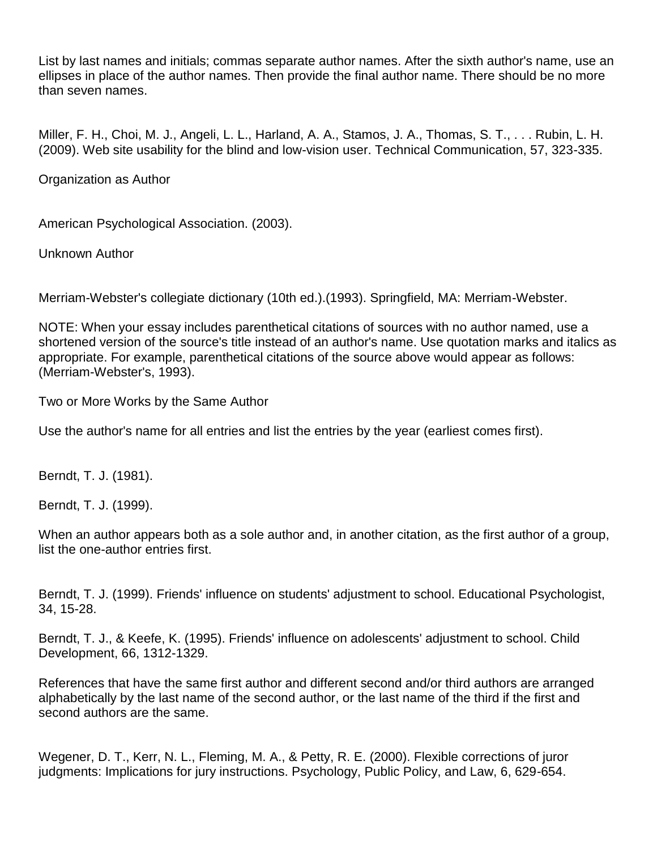List by last names and initials; commas separate author names. After the sixth author's name, use an ellipses in place of the author names. Then provide the final author name. There should be no more than seven names.

Miller, F. H., Choi, M. J., Angeli, L. L., Harland, A. A., Stamos, J. A., Thomas, S. T., . . . Rubin, L. H. (2009). Web site usability for the blind and low-vision user. Technical Communication, 57, 323-335.

Organization as Author

American Psychological Association. (2003).

Unknown Author

Merriam-Webster's collegiate dictionary (10th ed.).(1993). Springfield, MA: Merriam-Webster.

NOTE: When your essay includes parenthetical citations of sources with no author named, use a shortened version of the source's title instead of an author's name. Use quotation marks and italics as appropriate. For example, parenthetical citations of the source above would appear as follows: (Merriam-Webster's, 1993).

Two or More Works by the Same Author

Use the author's name for all entries and list the entries by the year (earliest comes first).

Berndt, T. J. (1981).

Berndt, T. J. (1999).

When an author appears both as a sole author and, in another citation, as the first author of a group, list the one-author entries first.

Berndt, T. J. (1999). Friends' influence on students' adjustment to school. Educational Psychologist, 34, 15-28.

Berndt, T. J., & Keefe, K. (1995). Friends' influence on adolescents' adjustment to school. Child Development, 66, 1312-1329.

References that have the same first author and different second and/or third authors are arranged alphabetically by the last name of the second author, or the last name of the third if the first and second authors are the same.

Wegener, D. T., Kerr, N. L., Fleming, M. A., & Petty, R. E. (2000). Flexible corrections of juror judgments: Implications for jury instructions. Psychology, Public Policy, and Law, 6, 629-654.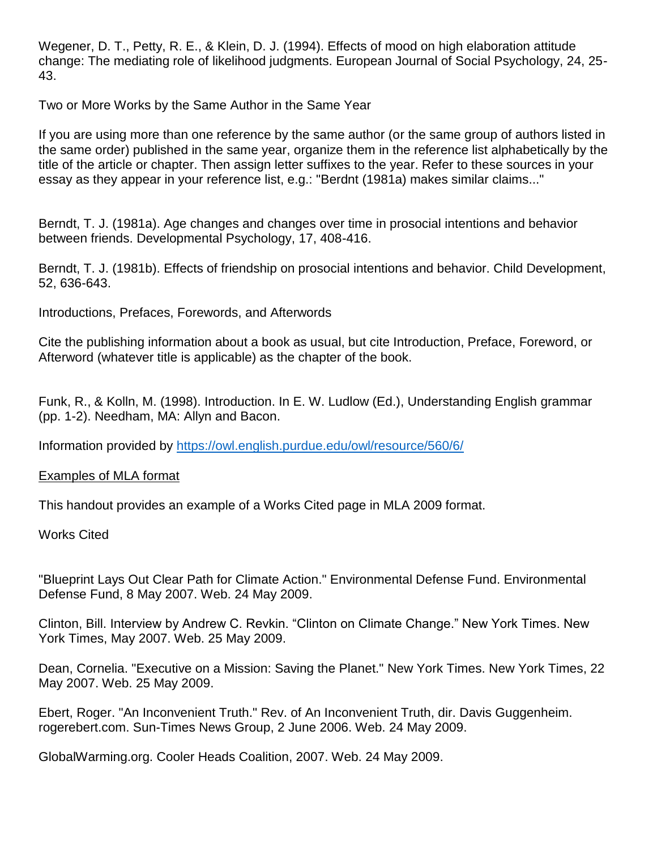Wegener, D. T., Petty, R. E., & Klein, D. J. (1994). Effects of mood on high elaboration attitude change: The mediating role of likelihood judgments. European Journal of Social Psychology, 24, 25- 43.

Two or More Works by the Same Author in the Same Year

If you are using more than one reference by the same author (or the same group of authors listed in the same order) published in the same year, organize them in the reference list alphabetically by the title of the article or chapter. Then assign letter suffixes to the year. Refer to these sources in your essay as they appear in your reference list, e.g.: "Berdnt (1981a) makes similar claims..."

Berndt, T. J. (1981a). Age changes and changes over time in prosocial intentions and behavior between friends. Developmental Psychology, 17, 408-416.

Berndt, T. J. (1981b). Effects of friendship on prosocial intentions and behavior. Child Development, 52, 636-643.

Introductions, Prefaces, Forewords, and Afterwords

Cite the publishing information about a book as usual, but cite Introduction, Preface, Foreword, or Afterword (whatever title is applicable) as the chapter of the book.

Funk, R., & Kolln, M. (1998). Introduction. In E. W. Ludlow (Ed.), Understanding English grammar (pp. 1-2). Needham, MA: Allyn and Bacon.

Information provided by<https://owl.english.purdue.edu/owl/resource/560/6/>

Examples of MLA format

This handout provides an example of a Works Cited page in MLA 2009 format.

Works Cited

"Blueprint Lays Out Clear Path for Climate Action." Environmental Defense Fund. Environmental Defense Fund, 8 May 2007. Web. 24 May 2009.

Clinton, Bill. Interview by Andrew C. Revkin. "Clinton on Climate Change." New York Times. New York Times, May 2007. Web. 25 May 2009.

Dean, Cornelia. "Executive on a Mission: Saving the Planet." New York Times. New York Times, 22 May 2007. Web. 25 May 2009.

Ebert, Roger. "An Inconvenient Truth." Rev. of An Inconvenient Truth, dir. Davis Guggenheim. rogerebert.com. Sun-Times News Group, 2 June 2006. Web. 24 May 2009.

GlobalWarming.org. Cooler Heads Coalition, 2007. Web. 24 May 2009.